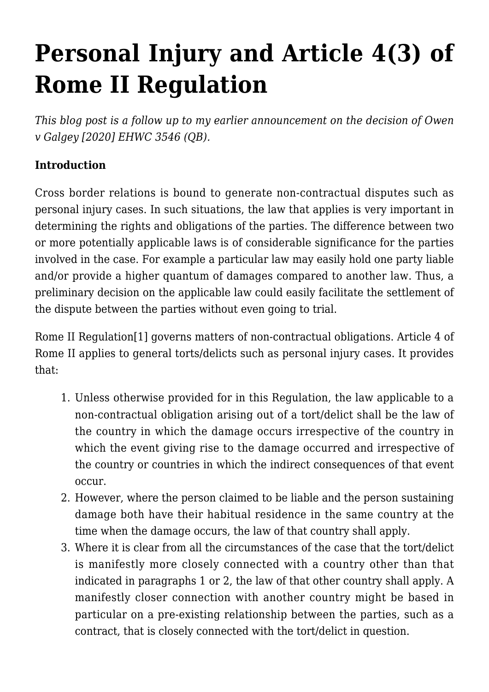# **[Personal Injury and Article 4\(3\) of](https://conflictoflaws.net/2021/personal-injury-and-article-43-of-rome-ii-regulation/) [Rome II Regulation](https://conflictoflaws.net/2021/personal-injury-and-article-43-of-rome-ii-regulation/)**

*This blog post is a follow up to my [earlier announcement](https://conflictoflaws.net/2020/the-english-high-court-delivers-an-interesting-decision-on-article-43-of-rome-ii-regulation/) on the decision of [Owen](https://www.2tg.co.uk/wp-content/uploads/2020/12/Gary-Owen-Final-judgment.pdf) [v Galgey \[2020\] EHWC 3546 \(QB\).](https://www.2tg.co.uk/wp-content/uploads/2020/12/Gary-Owen-Final-judgment.pdf)*

# **Introduction**

Cross border relations is bound to generate non-contractual disputes such as personal injury cases. In such situations, the law that applies is very important in determining the rights and obligations of the parties. The difference between two or more potentially applicable laws is of considerable significance for the parties involved in the case. For example a particular law may easily hold one party liable and/or provide a higher quantum of damages compared to another law. Thus, a preliminary decision on the applicable law could easily facilitate the settlement of the dispute between the parties without even going to trial.

Rome II Regulation[\[1\]](#page-6-0) governs matters of non-contractual obligations. Article 4 of Rome II applies to general torts/delicts such as personal injury cases. It provides that:

- 1. Unless otherwise provided for in this Regulation, the law applicable to a non-contractual obligation arising out of a tort/delict shall be the law of the country in which the damage occurs irrespective of the country in which the event giving rise to the damage occurred and irrespective of the country or countries in which the indirect consequences of that event occur.
- 2. However, where the person claimed to be liable and the person sustaining damage both have their habitual residence in the same country at the time when the damage occurs, the law of that country shall apply.
- 3. Where it is clear from all the circumstances of the case that the tort/delict is manifestly more closely connected with a country other than that indicated in paragraphs 1 or 2, the law of that other country shall apply. A manifestly closer connection with another country might be based in particular on a pre-existing relationship between the parties, such as a contract, that is closely connected with the tort/delict in question.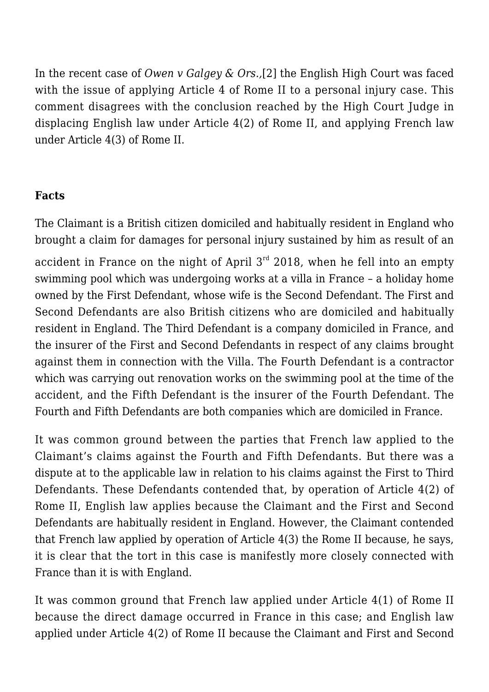<span id="page-1-0"></span>In the recent case of *Owen v Galgey & Ors.,*[\[2\]](#page-6-1) the English High Court was faced with the issue of applying Article 4 of Rome II to a personal injury case. This comment disagrees with the conclusion reached by the High Court Judge in displacing English law under Article 4(2) of Rome II, and applying French law under Article 4(3) of Rome II.

#### **Facts**

The Claimant is a British citizen domiciled and habitually resident in England who brought a claim for damages for personal injury sustained by him as result of an

accident in France on the night of April  $3<sup>rd</sup>$  2018, when he fell into an empty swimming pool which was undergoing works at a villa in France – a holiday home owned by the First Defendant, whose wife is the Second Defendant. The First and Second Defendants are also British citizens who are domiciled and habitually resident in England. The Third Defendant is a company domiciled in France, and the insurer of the First and Second Defendants in respect of any claims brought against them in connection with the Villa. The Fourth Defendant is a contractor which was carrying out renovation works on the swimming pool at the time of the accident, and the Fifth Defendant is the insurer of the Fourth Defendant. The Fourth and Fifth Defendants are both companies which are domiciled in France.

It was common ground between the parties that French law applied to the Claimant's claims against the Fourth and Fifth Defendants. But there was a dispute at to the applicable law in relation to his claims against the First to Third Defendants. These Defendants contended that, by operation of Article 4(2) of Rome II, English law applies because the Claimant and the First and Second Defendants are habitually resident in England. However, the Claimant contended that French law applied by operation of Article 4(3) the Rome II because, he says, it is clear that the tort in this case is manifestly more closely connected with France than it is with England.

It was common ground that French law applied under Article 4(1) of Rome II because the direct damage occurred in France in this case; and English law applied under Article 4(2) of Rome II because the Claimant and First and Second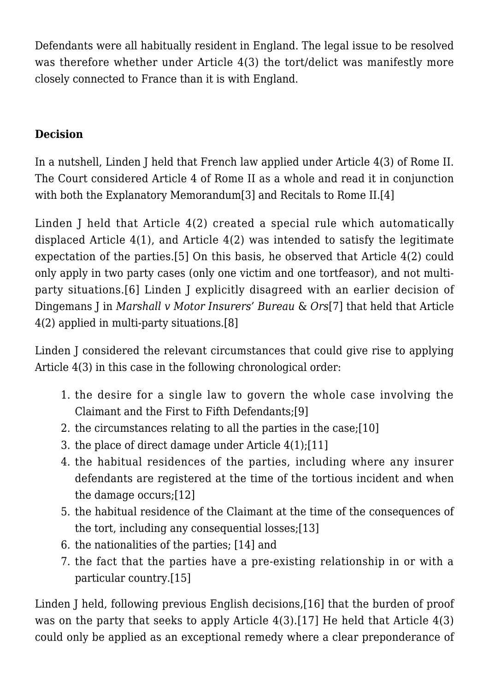Defendants were all habitually resident in England. The legal issue to be resolved was therefore whether under Article 4(3) the tort/delict was manifestly more closely connected to France than it is with England.

# **Decision**

In a nutshell, Linden J held that French law applied under Article 4(3) of Rome II. The Court considered Article 4 of Rome II as a whole and read it in conjunction with both the Explanatory Memorandum[\[3\]](#page-6-2) and Recitals to Rome II.[\[4\]](#page-7-0)

<span id="page-2-1"></span><span id="page-2-0"></span>Linden J held that Article 4(2) created a special rule which automatically displaced Article 4(1), and Article 4(2) was intended to satisfy the legitimate expectation of the parties.[\[5\]](#page-7-1) On this basis, he observed that Article 4(2) could only apply in two party cases (only one victim and one tortfeasor), and not multiparty situations.[\[6\]](#page-7-2) Linden J explicitly disagreed with an earlier decision of Dingemans J in *Marshall v Motor Insurers' Bureau* & *Ors*[\[7\]](#page-7-3) that held that Article 4(2) applied in multi-party situations.[\[8\]](#page-7-4)

<span id="page-2-4"></span><span id="page-2-3"></span><span id="page-2-2"></span>Linden J considered the relevant circumstances that could give rise to applying Article 4(3) in this case in the following chronological order:

- <span id="page-2-5"></span>1. the desire for a single law to govern the whole case involving the Claimant and the First to Fifth Defendants[;\[9\]](#page-7-5)
- <span id="page-2-6"></span>2. the circumstances relating to all the parties in the case;[\[10\]](#page-7-6)
- <span id="page-2-7"></span>3. the place of direct damage under Article 4(1);[\[11\]](#page-7-7)
- 4. the habitual residences of the parties, including where any insurer defendants are registered at the time of the tortious incident and when the damage occurs[;\[12\]](#page-7-8)
- <span id="page-2-9"></span><span id="page-2-8"></span>5. the habitual residence of the Claimant at the time of the consequences of the tort, including any consequential losses;[\[13\]](#page-7-9)
- <span id="page-2-10"></span>6. the nationalities of the parties; [\[14\]](#page-7-10) and
- 7. the fact that the parties have a pre-existing relationship in or with a particular country[.\[15\]](#page-7-11)

<span id="page-2-14"></span><span id="page-2-13"></span><span id="page-2-12"></span><span id="page-2-11"></span>Linden J held, following previous English decisions,[\[16\]](#page-7-12) that the burden of proof was on the party that seeks to apply Article 4(3).[\[17\]](#page-7-13) He held that Article 4(3) could only be applied as an exceptional remedy where a clear preponderance of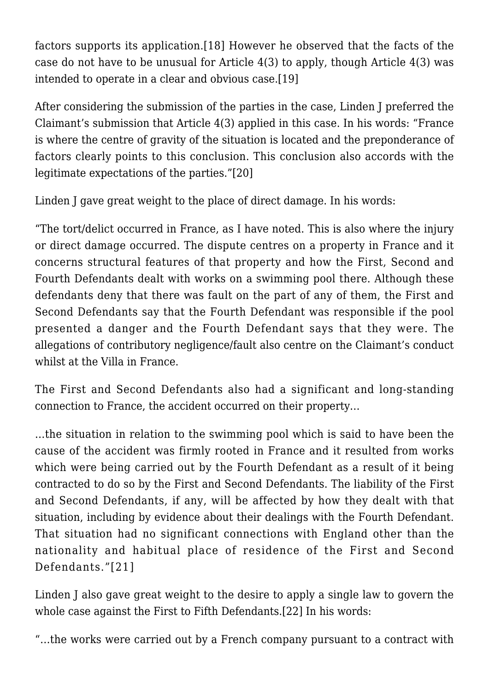factors supports its application.[\[18\]](#page-7-14) However he observed that the facts of the case do not have to be unusual for Article 4(3) to apply, though Article 4(3) was intended to operate in a clear and obvious case.[\[19\]](#page-7-15)

<span id="page-3-0"></span>After considering the submission of the parties in the case, Linden J preferred the Claimant's submission that Article 4(3) applied in this case. In his words: "France is where the centre of gravity of the situation is located and the preponderance of factors clearly points to this conclusion. This conclusion also accords with the legitimate expectations of the parties.["\[20\]](#page-7-16)

<span id="page-3-1"></span>Linden J gave great weight to the place of direct damage. In his words:

"The tort/delict occurred in France, as I have noted. This is also where the injury or direct damage occurred. The dispute centres on a property in France and it concerns structural features of that property and how the First, Second and Fourth Defendants dealt with works on a swimming pool there. Although these defendants deny that there was fault on the part of any of them, the First and Second Defendants say that the Fourth Defendant was responsible if the pool presented a danger and the Fourth Defendant says that they were. The allegations of contributory negligence/fault also centre on the Claimant's conduct whilst at the Villa in France.

The First and Second Defendants also had a significant and long-standing connection to France, the accident occurred on their property…

…the situation in relation to the swimming pool which is said to have been the cause of the accident was firmly rooted in France and it resulted from works which were being carried out by the Fourth Defendant as a result of it being contracted to do so by the First and Second Defendants. The liability of the First and Second Defendants, if any, will be affected by how they dealt with that situation, including by evidence about their dealings with the Fourth Defendant. That situation had no significant connections with England other than the nationality and habitual place of residence of the First and Second Defendants."[\[21\]](#page-7-17)

<span id="page-3-3"></span><span id="page-3-2"></span>Linden J also gave great weight to the desire to apply a single law to govern the whole case against the First to Fifth Defendants.[\[22\]](#page-8-0) In his words:

"…the works were carried out by a French company pursuant to a contract with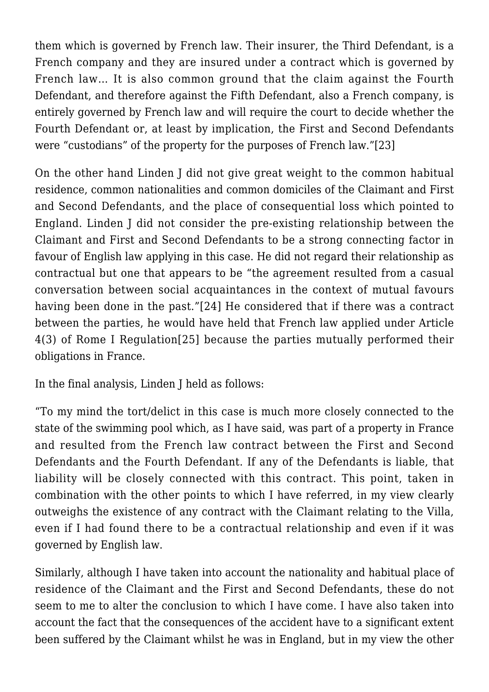them which is governed by French law. Their insurer, the Third Defendant, is a French company and they are insured under a contract which is governed by French law… It is also common ground that the claim against the Fourth Defendant, and therefore against the Fifth Defendant, also a French company, is entirely governed by French law and will require the court to decide whether the Fourth Defendant or, at least by implication, the First and Second Defendants were "custodians" of the property for the purposes of French law.["\[23\]](#page-8-1)

<span id="page-4-0"></span>On the other hand Linden J did not give great weight to the common habitual residence, common nationalities and common domiciles of the Claimant and First and Second Defendants, and the place of consequential loss which pointed to England. Linden J did not consider the pre-existing relationship between the Claimant and First and Second Defendants to be a strong connecting factor in favour of English law applying in this case. He did not regard their relationship as contractual but one that appears to be "the agreement resulted from a casual conversation between social acquaintances in the context of mutual favours having been done in the past.["\[24\]](#page-8-2) He considered that if there was a contract between the parties, he would have held that French law applied under Article 4(3) of Rome I Regulation[\[25\]](#page-8-3) because the parties mutually performed their obligations in France.

<span id="page-4-2"></span><span id="page-4-1"></span>In the final analysis, Linden J held as follows:

"To my mind the tort/delict in this case is much more closely connected to the state of the swimming pool which, as I have said, was part of a property in France and resulted from the French law contract between the First and Second Defendants and the Fourth Defendant. If any of the Defendants is liable, that liability will be closely connected with this contract. This point, taken in combination with the other points to which I have referred, in my view clearly outweighs the existence of any contract with the Claimant relating to the Villa, even if I had found there to be a contractual relationship and even if it was governed by English law.

Similarly, although I have taken into account the nationality and habitual place of residence of the Claimant and the First and Second Defendants, these do not seem to me to alter the conclusion to which I have come. I have also taken into account the fact that the consequences of the accident have to a significant extent been suffered by the Claimant whilst he was in England, but in my view the other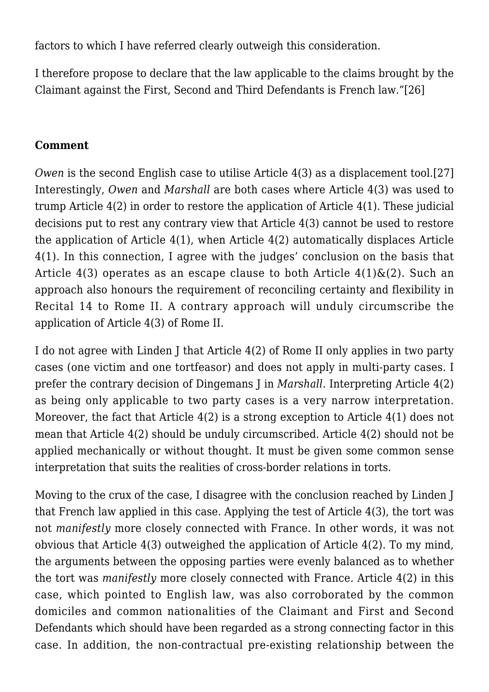factors to which I have referred clearly outweigh this consideration.

<span id="page-5-0"></span>I therefore propose to declare that the law applicable to the claims brought by the Claimant against the First, Second and Third Defendants is French law.["\[26\]](#page-8-4)

#### **Comment**

<span id="page-5-1"></span>*Owen* is the second English case to utilise Article 4(3) as a displacement tool.[\[27\]](#page-8-5) Interestingly, *Owen* and *Marshall* are both cases where Article 4(3) was used to trump Article 4(2) in order to restore the application of Article 4(1). These judicial decisions put to rest any contrary view that Article 4(3) cannot be used to restore the application of Article 4(1), when Article 4(2) automatically displaces Article 4(1). In this connection, I agree with the judges' conclusion on the basis that Article 4(3) operates as an escape clause to both Article  $4(1)\&(2)$ . Such an approach also honours the requirement of reconciling certainty and flexibility in Recital 14 to Rome II. A contrary approach will unduly circumscribe the application of Article 4(3) of Rome II.

I do not agree with Linden J that Article 4(2) of Rome II only applies in two party cases (one victim and one tortfeasor) and does not apply in multi-party cases. I prefer the contrary decision of Dingemans J in *Marshall*. Interpreting Article 4(2) as being only applicable to two party cases is a very narrow interpretation. Moreover, the fact that Article 4(2) is a strong exception to Article 4(1) does not mean that Article 4(2) should be unduly circumscribed. Article 4(2) should not be applied mechanically or without thought. It must be given some common sense interpretation that suits the realities of cross-border relations in torts.

Moving to the crux of the case, I disagree with the conclusion reached by Linden J that French law applied in this case. Applying the test of Article 4(3), the tort was not *manifestly* more closely connected with France. In other words, it was not obvious that Article 4(3) outweighed the application of Article 4(2). To my mind, the arguments between the opposing parties were evenly balanced as to whether the tort was *manifestly* more closely connected with France. Article 4(2) in this case, which pointed to English law, was also corroborated by the common domiciles and common nationalities of the Claimant and First and Second Defendants which should have been regarded as a strong connecting factor in this case. In addition, the non-contractual pre-existing relationship between the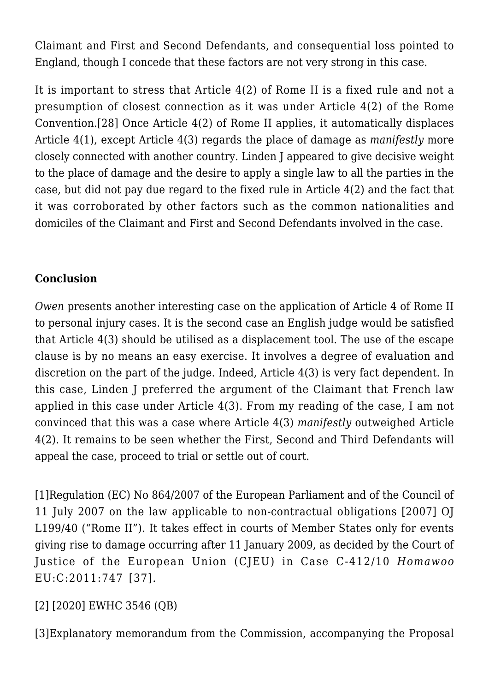Claimant and First and Second Defendants, and consequential loss pointed to England, though I concede that these factors are not very strong in this case.

<span id="page-6-3"></span>It is important to stress that Article 4(2) of Rome II is a fixed rule and not a presumption of closest connection as it was under Article 4(2) of the Rome Convention.[\[28\]](#page-8-6) Once Article 4(2) of Rome II applies, it automatically displaces Article 4(1), except Article 4(3) regards the place of damage as *manifestly* more closely connected with another country. Linden J appeared to give decisive weight to the place of damage and the desire to apply a single law to all the parties in the case, but did not pay due regard to the fixed rule in Article 4(2) and the fact that it was corroborated by other factors such as the common nationalities and domiciles of the Claimant and First and Second Defendants involved in the case.

## **Conclusion**

*Owen* presents another interesting case on the application of Article 4 of Rome II to personal injury cases. It is the second case an English judge would be satisfied that Article 4(3) should be utilised as a displacement tool. The use of the escape clause is by no means an easy exercise. It involves a degree of evaluation and discretion on the part of the judge. Indeed, Article 4(3) is very fact dependent. In this case, Linden J preferred the argument of the Claimant that French law applied in this case under Article 4(3). From my reading of the case, I am not convinced that this was a case where Article 4(3) *manifestly* outweighed Article 4(2). It remains to be seen whether the First, Second and Third Defendants will appeal the case, proceed to trial or settle out of court.

<span id="page-6-0"></span>[1]Regulation (EC) No 864/2007 of the European Parliament and of the Council of 11 July 2007 on the law applicable to non-contractual obligations [2007] OJ L199/40 ("Rome II"). It takes effect in courts of Member States only for events giving rise to damage occurring after 11 January 2009, as decided by the Court of Justice of the European Union (CJEU) in Case C-412/10 *Homawoo* EU:C:2011:747 [37].

## <span id="page-6-1"></span>[\[2\]](#page-1-0) [2020] EWHC 3546 (QB)

<span id="page-6-2"></span>[\[3\]](#page-2-0)Explanatory memorandum from the Commission, accompanying the Proposal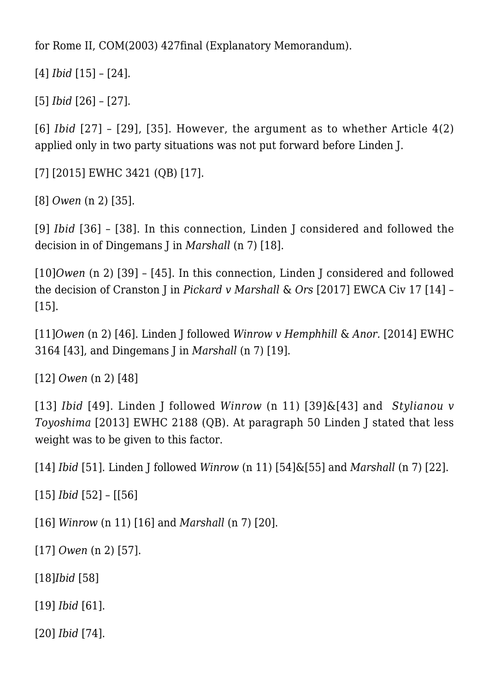for Rome II, COM(2003) 427final (Explanatory Memorandum).

<span id="page-7-0"></span>[\[4\]](#page-2-0) *Ibid* [15] – [24].

<span id="page-7-1"></span>[\[5\]](#page-2-1) *Ibid* [26] – [27].

<span id="page-7-2"></span>[\[6\]](#page-2-2) *Ibid* [27] – [29], [35]. However, the argument as to whether Article 4(2) applied only in two party situations was not put forward before Linden J.

<span id="page-7-3"></span>[\[7\]](#page-2-3) [2015] EWHC 3421 (QB) [17].

<span id="page-7-4"></span>[\[8\]](#page-2-4) *Owen* (n 2) [35].

<span id="page-7-5"></span>[\[9\]](#page-2-5) *Ibid* [36] – [38]. In this connection, Linden J considered and followed the decision in of Dingemans J in *Marshall* (n 7) [18].

<span id="page-7-6"></span>[\[10\]](#page-2-6)*Owen* (n 2) [39] – [45]. In this connection, Linden J considered and followed the decision of Cranston J in *Pickard v Marshall* & *Ors* [2017] EWCA Civ 17 [14] – [15].

<span id="page-7-7"></span>[\[11\]](#page-2-7)*Owen* (n 2) [46]. Linden J followed *Winrow v Hemphhill* & *Anor.* [2014] EWHC 3164 [43], and Dingemans J in *Marshall* (n 7) [19].

<span id="page-7-8"></span>[\[12\]](#page-2-8) *Owen* (n 2) [48]

<span id="page-7-9"></span>[\[13\]](#page-2-9) *Ibid* [49]. Linden J followed *Winrow* (n 11) [39]&[43] and *Stylianou v Toyoshima* [2013] EWHC 2188 (QB). At paragraph 50 Linden J stated that less weight was to be given to this factor.

<span id="page-7-10"></span>[\[14\]](#page-2-10) *Ibid* [51]. Linden J followed *Winrow* (n 11) [54]&[55] and *Marshall* (n 7) [22].

<span id="page-7-11"></span>[\[15\]](#page-2-11) *Ibid* [52] – [[56]

<span id="page-7-12"></span>[\[16\]](#page-2-12) *Winrow* (n 11) [16] and *Marshall* (n 7) [20].

<span id="page-7-13"></span>[\[17\]](#page-2-13) *Owen* (n 2) [57].

<span id="page-7-14"></span>[\[18\]](#page-2-14)*Ibid* [58]

<span id="page-7-15"></span>[\[19\]](#page-3-0) *Ibid* [61].

<span id="page-7-17"></span><span id="page-7-16"></span>[\[20\]](#page-3-1) *Ibid* [74].